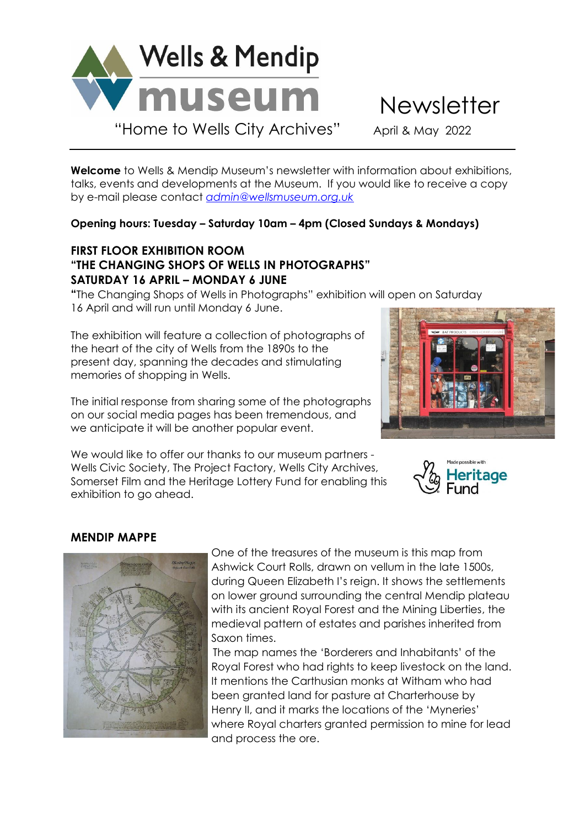

**Welcome** to Wells & Mendip Museum's newsletter with information about exhibitions, talks, events and developments at the Museum. If you would like to receive a copy by e-mail please contact *[admin@wellsmuseum.org.uk](mailto:admin@wellsmuseum.org.uk)*

## **Opening hours: Tuesday – Saturday 10am – 4pm (Closed Sundays & Mondays)**

# **FIRST FLOOR EXHIBITION ROOM "THE CHANGING SHOPS OF WELLS IN PHOTOGRAPHS" SATURDAY 16 APRIL – MONDAY 6 JUNE**

**"**The Changing Shops of Wells in Photographs" exhibition will open on Saturday 16 April and will run until Monday 6 June.

The exhibition will feature a collection of photographs of the heart of the city of Wells from the 1890s to the present day, spanning the decades and stimulating memories of shopping in Wells.

The initial response from sharing some of the photographs on our social media pages has been tremendous, and we anticipate it will be another popular event.

We would like to offer our thanks to our museum partners - Wells Civic Society, The Project Factory, Wells City Archives, Somerset Film and the Heritage Lottery Fund for enabling this exhibition to go ahead.





# **MENDIP MAPPE**



 One of the treasures of the museum is this map from Ashwick Court Rolls, drawn on vellum in the late 1500s, during Queen Elizabeth I's reign. It shows the settlements on lower ground surrounding the central Mendip plateau with its ancient Royal Forest and the Mining Liberties, the medieval pattern of estates and parishes inherited from Saxon times.

The map names the 'Borderers and Inhabitants' of the Royal Forest who had rights to keep livestock on the land. It mentions the Carthusian monks at Witham who had been granted land for pasture at Charterhouse by Henry II, and it marks the locations of the 'Myneries' where Royal charters granted permission to mine for lead and process the ore.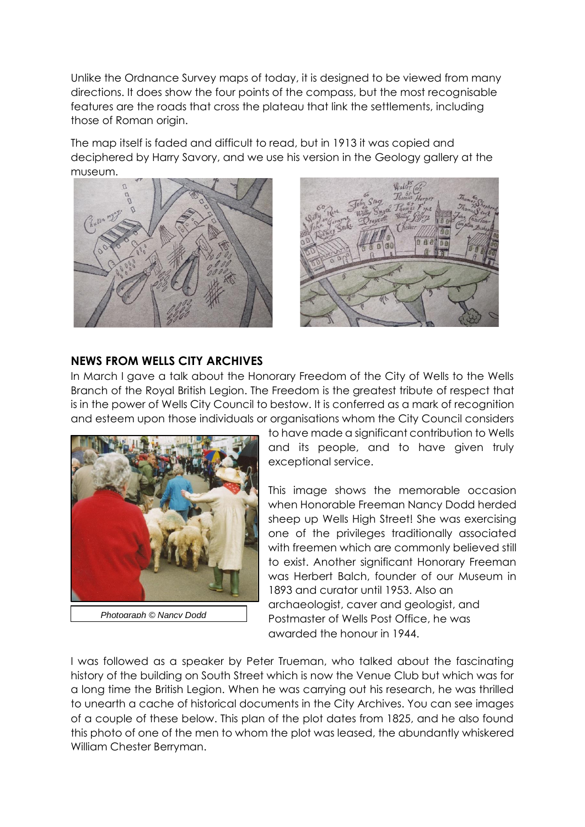Unlike the Ordnance Survey maps of today, it is designed to be viewed from many directions. It does show the four points of the compass, but the most recognisable features are the roads that cross the plateau that link the settlements, including those of Roman origin.

The map itself is faded and difficult to read, but in 1913 it was copied and deciphered by Harry Savory, and we use his version in the Geology gallery at the museum.





### **NEWS FROM WELLS CITY ARCHIVES**

In March I gave a talk about the Honorary Freedom of the City of Wells to the Wells Branch of the Royal British Legion. The Freedom is the greatest tribute of respect that is in the power of Wells City Council to bestow. It is conferred as a mark of recognition and esteem upon those individuals or organisations whom the City Council considers



 *Photograph © Nancy Dodd*

to have made a significant contribution to Wells and its people, and to have given truly exceptional service.

This image shows the memorable occasion when Honorable Freeman Nancy Dodd herded sheep up Wells High Street! She was exercising one of the privileges traditionally associated with freemen which are commonly believed still to exist. Another significant Honorary Freeman was Herbert Balch, founder of our Museum in 1893 and curator until 1953. Also an archaeologist, caver and geologist, and Postmaster of Wells Post Office, he was awarded the honour in 1944.

I was followed as a speaker by Peter Trueman, who talked about the fascinating history of the building on South Street which is now the Venue Club but which was for a long time the British Legion. When he was carrying out his research, he was thrilled to unearth a cache of historical documents in the City Archives. You can see images of a couple of these below. This plan of the plot dates from 1825, and he also found this photo of one of the men to whom the plot was leased, the abundantly whiskered William Chester Berryman.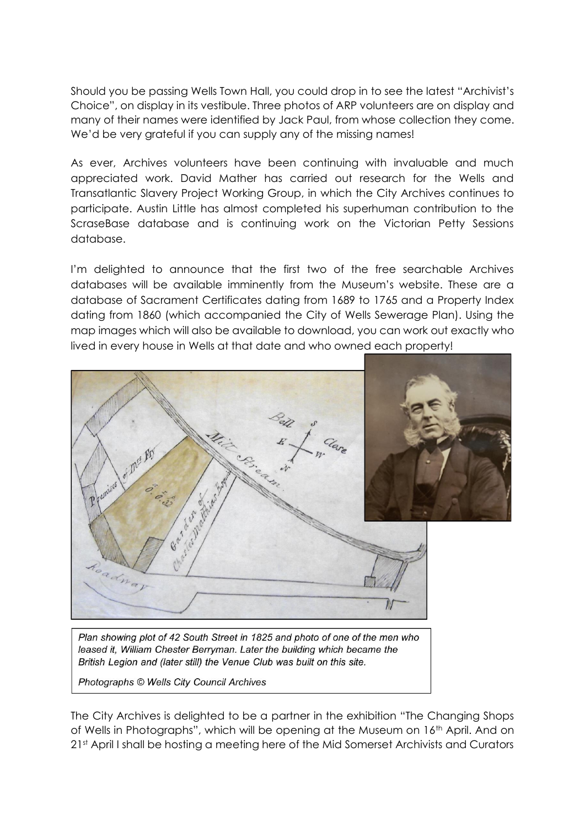Should you be passing Wells Town Hall, you could drop in to see the latest "Archivist's Choice", on display in its vestibule. Three photos of ARP volunteers are on display and many of their names were identified by Jack Paul, from whose collection they come. We'd be very grateful if you can supply any of the missing names!

As ever, Archives volunteers have been continuing with invaluable and much appreciated work. David Mather has carried out research for the Wells and Transatlantic Slavery Project Working Group, in which the City Archives continues to participate. Austin Little has almost completed his superhuman contribution to the ScraseBase database and is continuing work on the Victorian Petty Sessions database.

I'm delighted to announce that the first two of the free searchable Archives databases will be available imminently from the Museum's website. These are a database of Sacrament Certificates dating from 1689 to 1765 and a Property Index dating from 1860 (which accompanied the City of Wells Sewerage Plan). Using the map images which will also be available to download, you can work out exactly who lived in every house in Wells at that date and who owned each property!



Plan showing plot of 42 South Street in 1825 and photo of one of the men who leased it, William Chester Berryman. Later the building which became the British Legion and (later still) the Venue Club was built on this site.

Photographs © Wells City Council Archives

The City Archives is delighted to be a partner in the exhibition "The Changing Shops of Wells in Photographs", which will be opening at the Museum on 16th April. And on 21st April I shall be hosting a meeting here of the Mid Somerset Archivists and Curators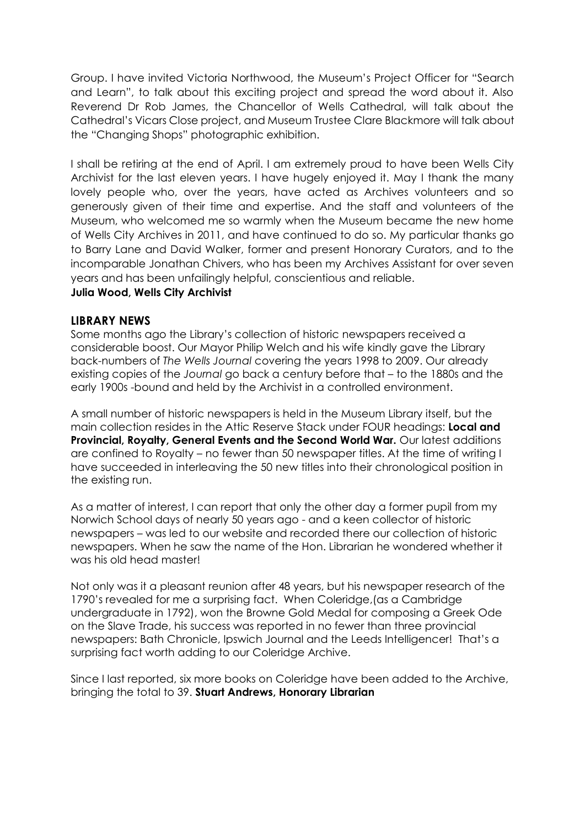Group. I have invited Victoria Northwood, the Museum's Project Officer for "Search and Learn", to talk about this exciting project and spread the word about it. Also Reverend Dr Rob James, the Chancellor of Wells Cathedral, will talk about the Cathedral's Vicars Close project, and Museum Trustee Clare Blackmore will talk about the "Changing Shops" photographic exhibition.

I shall be retiring at the end of April. I am extremely proud to have been Wells City Archivist for the last eleven years. I have hugely enjoyed it. May I thank the many lovely people who, over the years, have acted as Archives volunteers and so generously given of their time and expertise. And the staff and volunteers of the Museum, who welcomed me so warmly when the Museum became the new home of Wells City Archives in 2011, and have continued to do so. My particular thanks go to Barry Lane and David Walker, former and present Honorary Curators, and to the incomparable Jonathan Chivers, who has been my Archives Assistant for over seven years and has been unfailingly helpful, conscientious and reliable.

#### **Julia Wood, Wells City Archivist**

#### **LIBRARY NEWS**

Some months ago the Library's collection of historic newspapers received a considerable boost. Our Mayor Philip Welch and his wife kindly gave the Library back-numbers of *The Wells Journal* covering the years 1998 to 2009. Our already existing copies of the *Journal* go back a century before that – to the 1880s and the early 1900s -bound and held by the Archivist in a controlled environment.

A small number of historic newspapers is held in the Museum Library itself, but the main collection resides in the Attic Reserve Stack under FOUR headings: **Local and Provincial, Royalty, General Events and the Second World War.** Our latest additions are confined to Royalty – no fewer than 50 newspaper titles. At the time of writing I have succeeded in interleaving the 50 new titles into their chronological position in the existing run.

As a matter of interest, I can report that only the other day a former pupil from my Norwich School days of nearly 50 years ago - and a keen collector of historic newspapers – was led to our website and recorded there our collection of historic newspapers. When he saw the name of the Hon. Librarian he wondered whether it was his old head master!

Not only was it a pleasant reunion after 48 years, but his newspaper research of the 1790's revealed for me a surprising fact. When Coleridge,(as a Cambridge undergraduate in 1792), won the Browne Gold Medal for composing a Greek Ode on the Slave Trade, his success was reported in no fewer than three provincial newspapers: Bath Chronicle, Ipswich Journal and the Leeds Intelligencer! That's a surprising fact worth adding to our Coleridge Archive.

Since I last reported, six more books on Coleridge have been added to the Archive, bringing the total to 39. **Stuart Andrews, Honorary Librarian**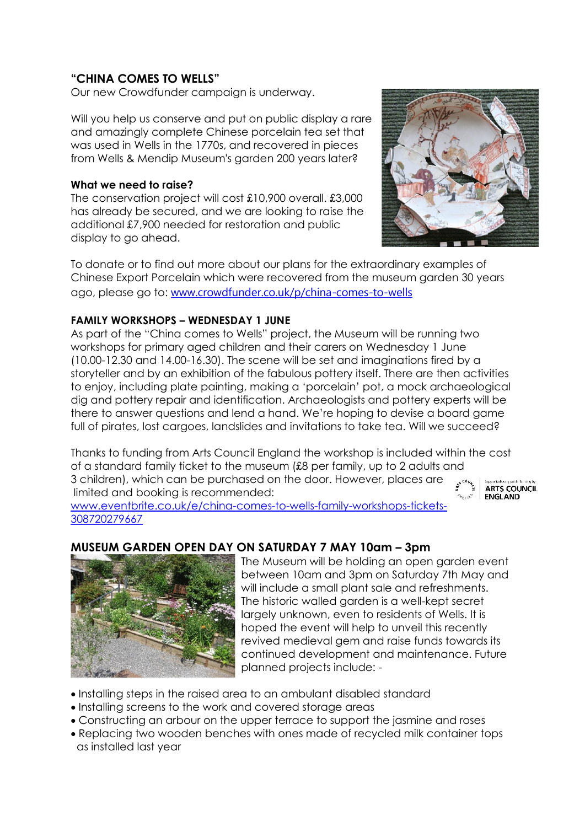# **"CHINA COMES TO WELLS"**

Our new Crowdfunder campaign is underway.

Will you help us conserve and put on public display a rare and amazingly complete Chinese porcelain tea set that was used in Wells in the 1770s, and recovered in pieces from Wells & Mendip Museum's garden 200 years later?

#### **What we need to raise?**

The conservation project will cost £10,900 overall. £3,000 has already be secured, and we are looking to raise the additional £7,900 needed for restoration and public display to go ahead.



To donate or to find out more about our plans for the extraordinary examples of Chinese Export Porcelain which were recovered from the museum garden 30 years ago, please go to: [www.crowdfunder.co.uk/p/china-comes-to-wells](http://www.crowdfunder.co.uk/p/china-comes-to-wells)

### **FAMILY WORKSHOPS – WEDNESDAY 1 JUNE**

As part of the "China comes to Wells" project, the Museum will be running two workshops for primary aged children and their carers on Wednesday 1 June (10.00-12.30 and 14.00-16.30). The scene will be set and imaginations fired by a storyteller and by an exhibition of the fabulous pottery itself. There are then activities to enjoy, including plate painting, making a 'porcelain' pot, a mock archaeological dig and pottery repair and identification. Archaeologists and pottery experts will be there to answer questions and lend a hand. We're hoping to devise a board game full of pirates, lost cargoes, landslides and invitations to take tea. Will we succeed?

Thanks to funding from Arts Council England the workshop is included within the cost of a standard family ticket to the museum (£8 per family, up to 2 adults and 3 children), which can be purchased on the door. However, places are limited and booking is recommended:

[www.eventbrite.co.uk/e/china-comes-to-wells-family-workshops-tickets-](http://www.eventbrite.co.uk/e/china-comes-to-wells-family-workshops-tickets-308720279667)[308720279667](http://www.eventbrite.co.uk/e/china-comes-to-wells-family-workshops-tickets-308720279667)

#### **ARTS COUNCIL ENGLAND**

# **MUSEUM GARDEN OPEN DAY ON SATURDAY 7 MAY 10am – 3pm**



 The Museum will be holding an open garden event between 10am and 3pm on Saturday 7th May and will include a small plant sale and refreshments. The historic walled garden is a well-kept secret largely unknown, even to residents of Wells. It is hoped the event will help to unveil this recently revived medieval gem and raise funds towards its continued development and maintenance. Future planned projects include: -

- Installing steps in the raised area to an ambulant disabled standard
- Installing screens to the work and covered storage areas
- Constructing an arbour on the upper terrace to support the jasmine and roses
- Replacing two wooden benches with ones made of recycled milk container tops as installed last year